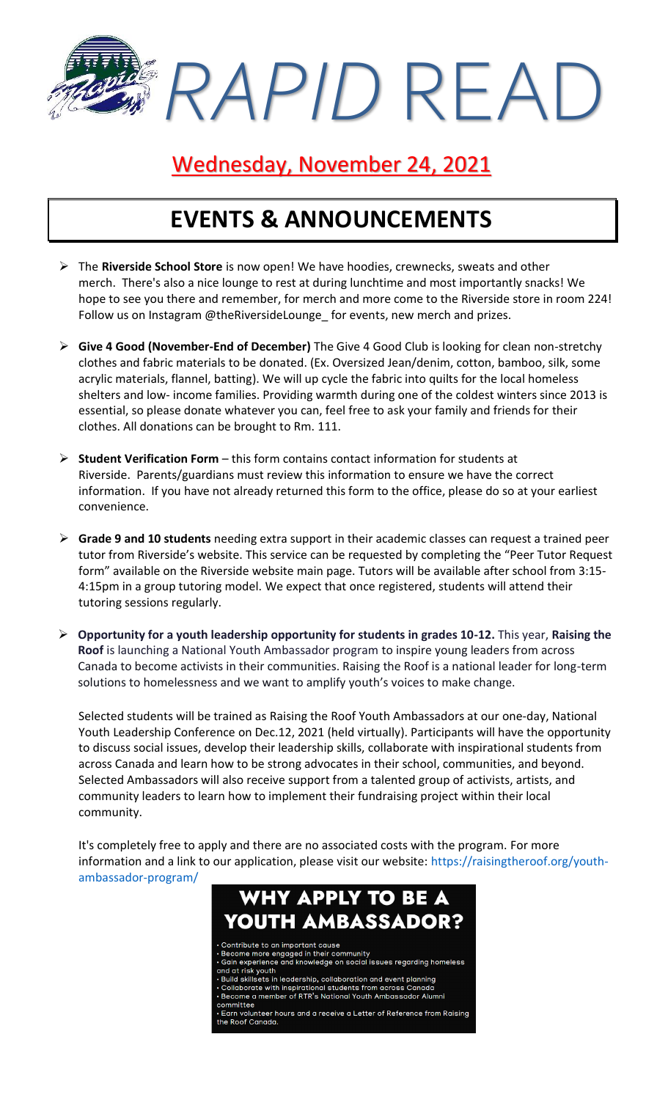*RAPID* READ

### Wednesday, November 24, 2021

# **EVENTS & ANNOUNCEMENTS**

- ➢ The **Riverside School Store** is now open! We have hoodies, crewnecks, sweats and other merch. There's also a nice lounge to rest at during lunchtime and most importantly snacks! We hope to see you there and remember, for merch and more come to the Riverside store in room 224! Follow us on Instagram @theRiversideLounge\_ for events, new merch and prizes.
- ➢ **Give 4 Good (November-End of December)** The Give 4 Good Club is looking for clean non-stretchy clothes and fabric materials to be donated. (Ex. Oversized Jean/denim, cotton, bamboo, silk, some acrylic materials, flannel, batting). We will up cycle the fabric into quilts for the local homeless shelters and low- income families. Providing warmth during one of the coldest winters since 2013 is essential, so please donate whatever you can, feel free to ask your family and friends for their clothes. All donations can be brought to Rm. 111.
- ➢ **Student Verification Form** this form contains contact information for students at Riverside. Parents/guardians must review this information to ensure we have the correct information. If you have not already returned this form to the office, please do so at your earliest convenience.
- ➢ **Grade 9 and 10 students** needing extra support in their academic classes can request a trained peer tutor from Riverside's website. This service can be requested by completing the "Peer Tutor Request form" available on the Riverside website main page. Tutors will be available after school from 3:15- 4:15pm in a group tutoring model. We expect that once registered, students will attend their tutoring sessions regularly.
- ➢ **Opportunity for a youth leadership opportunity for students in grades 10-12.** This year, **Raising the Roof** is launching a National Youth Ambassador program to inspire young leaders from across Canada to become activists in their communities. Raising the Roof is a national leader for long-term solutions to homelessness and we want to amplify youth's voices to make change.

Selected students will be trained as Raising the Roof Youth Ambassadors at our one-day, National Youth Leadership Conference on Dec.12, 2021 (held virtually). Participants will have the opportunity to discuss social issues, develop their leadership skills, collaborate with inspirational students from across Canada and learn how to be strong advocates in their school, communities, and beyond. Selected Ambassadors will also receive support from a talented group of activists, artists, and community leaders to learn how to implement their fundraising project within their local community.

It's completely free to apply and there are no associated costs with the program. For more information and a link to our application, please visit our website: [https://raisingtheroof.org/youth](https://raisingtheroof.org/youth-ambassador-program/)[ambassador-program/](https://raisingtheroof.org/youth-ambassador-program/)